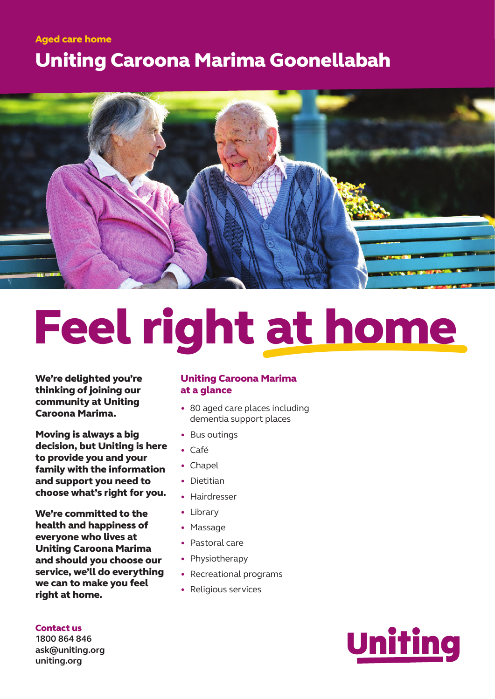## Uniting Caroona Marima Goonellabah Aged care home



# Feel right at home

We're delighted you're thinking of joining our community at Uniting Caroona Marima.

Moving is always a big decision, but Uniting is here to provide you and your family with the information and support you need to choose what's right for you.

We're committed to the health and happiness of everyone who lives at Uniting Caroona Marima and should you choose our service, we'll do everything we can to make you feel right at home.

#### Uniting Caroona Marima at a glance

- 80 aged care places including dementia support places
- Bus outings
- Café
- Chapel
- Dietitian
- Hairdresser
- Library
- Massage
- Pastoral care
- Physiotherapy
- Recreational programs
- Religious services



**1800 864 846 ask@uniting.org uniting.org**

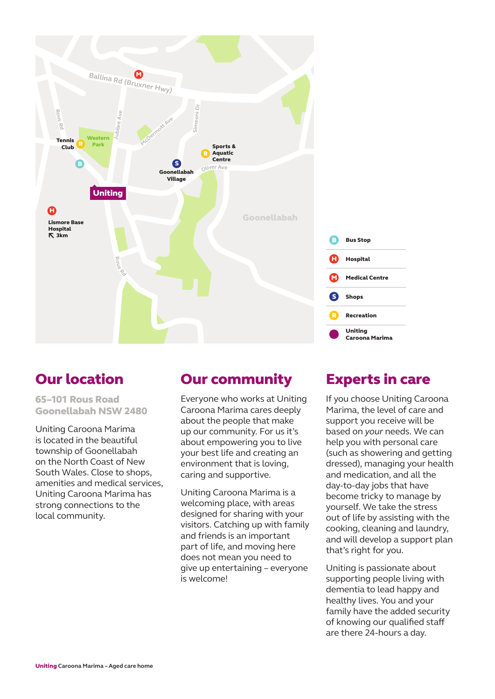

## Our location

65–101 Rous Road Goonellabah NSW 2480

Uniting Caroona Marima is located in the beautiful township of Goonellabah on the North Coast of New South Wales. Close to shops, amenities and medical services, Uniting Caroona Marima has strong connections to the local community.

## Our community

Everyone who works at Uniting Caroona Marima cares deeply about the people that make up our community. For us it's about empowering you to live your best life and creating an environment that is loving, caring and supportive.

Uniting Caroona Marima is a welcoming place, with areas designed for sharing with your visitors. Catching up with family and friends is an important part of life, and moving here does not mean you need to give up entertaining – everyone is welcome!

### Experts in care

If you choose Uniting Caroona Marima, the level of care and support you receive will be based on *your* needs. We can help you with personal care (such as showering and getting dressed), managing your health and medication, and all the day-to-day jobs that have become tricky to manage by yourself. We take the stress out of life by assisting with the cooking, cleaning and laundry, and will develop a support plan that's right for you.

Uniting is passionate about supporting people living with dementia to lead happy and healthy lives. You and your family have the added security of knowing our qualified staff are there 24-hours a day.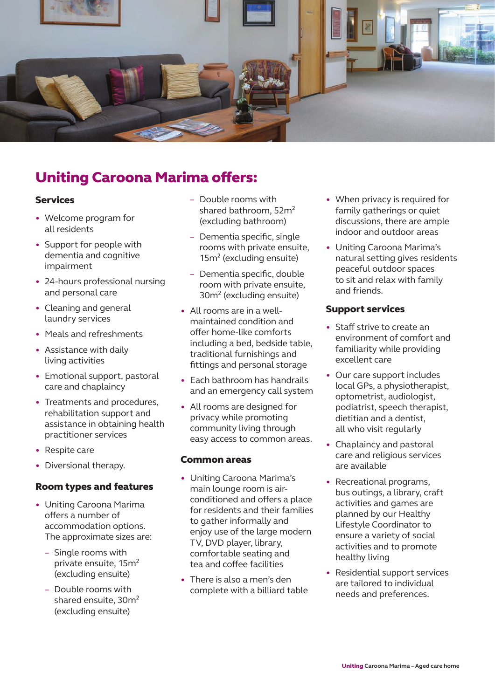

## Uniting Caroona Marima offers:

#### Services

- Welcome program for all residents
- Support for people with dementia and cognitive impairment
- 24-hours professional nursing and personal care
- Cleaning and general laundry services
- Meals and refreshments
- Assistance with daily living activities
- Emotional support, pastoral care and chaplaincy
- Treatments and procedures, rehabilitation support and assistance in obtaining health practitioner services
- Respite care
- Diversional therapy.

#### Room types and features

- Uniting Caroona Marima offers a number of accommodation options. The approximate sizes are:
	- Single rooms with private ensuite, 15m² (excluding ensuite)
	- Double rooms with shared ensuite, 30m² (excluding ensuite)
- Double rooms with shared bathroom, 52m² (excluding bathroom)
- Dementia specific, single rooms with private ensuite, 15m² (excluding ensuite)
- Dementia specific, double room with private ensuite, 30m² (excluding ensuite)
- All rooms are in a wellmaintained condition and offer home-like comforts including a bed, bedside table, traditional furnishings and fittings and personal storage
- Each bathroom has handrails and an emergency call system
- All rooms are designed for privacy while promoting community living through easy access to common areas.

#### Common areas

- Uniting Caroona Marima's main lounge room is airconditioned and offers a place for residents and their families to gather informally and enjoy use of the large modern TV, DVD player, library, comfortable seating and tea and coffee facilities
- There is also a men's den complete with a billiard table
- When privacy is required for family gatherings or quiet discussions, there are ample indoor and outdoor areas
- Uniting Caroona Marima's natural setting gives residents peaceful outdoor spaces to sit and relax with family and friends.

#### Support services

- Staff strive to create an environment of comfort and familiarity while providing excellent care
- Our care support includes local GPs, a physiotherapist, optometrist, audiologist, podiatrist, speech therapist, dietitian and a dentist, all who visit regularly
- Chaplaincy and pastoral care and religious services are available
- Recreational programs, bus outings, a library, craft activities and games are planned by our Healthy Lifestyle Coordinator to ensure a variety of social activities and to promote healthy living
- Residential support services are tailored to individual needs and preferences.